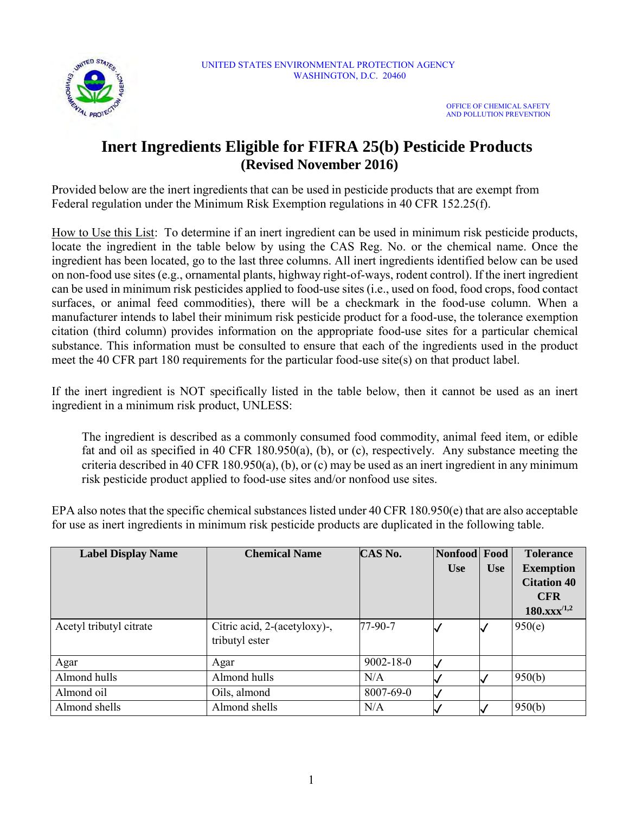

## **Inert Ingredients Eligible for FIFRA 25(b) Pesticide Products (Revised November 2016)**

Provided below are the inert ingredients that can be used in pesticide products that are exempt from Federal regulation under the Minimum Risk Exemption regulations in 40 CFR 152.25(f).

How to Use this List: To determine if an inert ingredient can be used in minimum risk pesticide products, locate the ingredient in the table below by using the CAS Reg. No. or the chemical name. Once the ingredient has been located, go to the last three columns. All inert ingredients identified below can be used on non-food use sites (e.g., ornamental plants, highway right-of-ways, rodent control). If the inert ingredient can be used in minimum risk pesticides applied to food-use sites (i.e., used on food, food crops, food contact surfaces, or animal feed commodities), there will be a checkmark in the food-use column. When a manufacturer intends to label their minimum risk pesticide product for a food-use, the tolerance exemption citation (third column) provides information on the appropriate food-use sites for a particular chemical substance. This information must be consulted to ensure that each of the ingredients used in the product meet the 40 CFR part 180 requirements for the particular food-use site(s) on that product label.

If the inert ingredient is NOT specifically listed in the table below, then it cannot be used as an inert ingredient in a minimum risk product, UNLESS:

The ingredient is described as a commonly consumed food commodity, animal feed item, or edible fat and oil as specified in 40 CFR 180.950(a), (b), or (c), respectively. Any substance meeting the criteria described in 40 CFR 180.950(a), (b), or (c) may be used as an inert ingredient in any minimum risk pesticide product applied to food-use sites and/or nonfood use sites.

EPA also notes that the specific chemical substances listed under 40 CFR 180.950(e) that are also acceptable for use as inert ingredients in minimum risk pesticide products are duplicated in the following table.

| <b>Label Display Name</b> | <b>Chemical Name</b>                           | CAS No.         | Nonfood Food<br><b>Use</b> | <b>Use</b> | <b>Tolerance</b><br><b>Exemption</b><br><b>Citation 40</b><br><b>CFR</b><br>$180.xxx^{/1,2}$ |
|---------------------------|------------------------------------------------|-----------------|----------------------------|------------|----------------------------------------------------------------------------------------------|
| Acetyl tributyl citrate   | Citric acid, 2-(acetyloxy)-,<br>tributyl ester | 77-90-7         |                            |            | 950(e)                                                                                       |
| Agar                      | Agar                                           | $9002 - 18 - 0$ |                            |            |                                                                                              |
| Almond hulls              | Almond hulls                                   | N/A             |                            |            | 950(b)                                                                                       |
| Almond oil                | Oils, almond                                   | 8007-69-0       |                            |            |                                                                                              |
| Almond shells             | Almond shells                                  | N/A             |                            |            | 950(b)                                                                                       |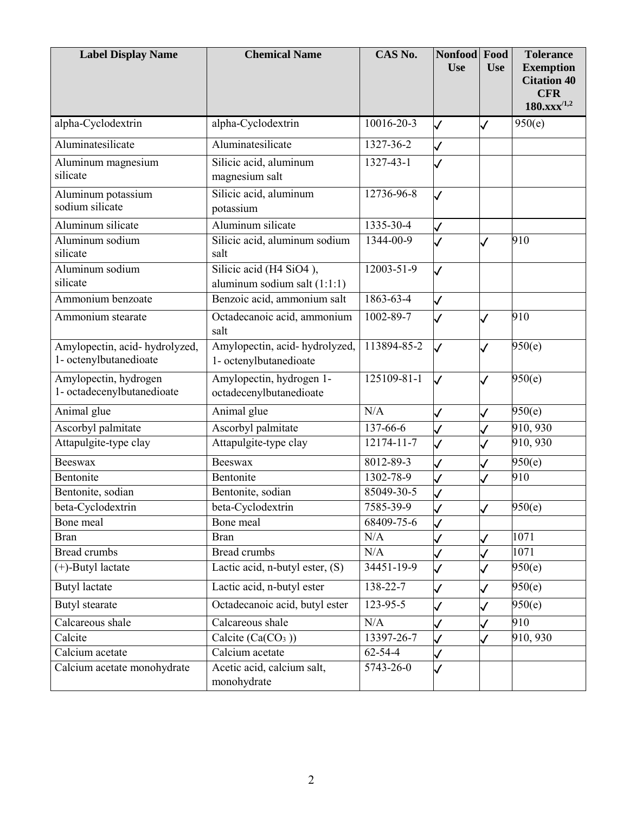| <b>Label Display Name</b>                               | <b>Chemical Name</b>                                    | CAS No.          | Nonfood<br><b>Use</b>    | Food<br><b>Use</b> | <b>Tolerance</b><br><b>Exemption</b><br><b>Citation 40</b><br><b>CFR</b><br>$180.xxx^{/1,2}$ |
|---------------------------------------------------------|---------------------------------------------------------|------------------|--------------------------|--------------------|----------------------------------------------------------------------------------------------|
| alpha-Cyclodextrin                                      | alpha-Cyclodextrin                                      | 10016-20-3       | $\overline{\mathscr{S}}$ | 7                  | 950(e)                                                                                       |
| Aluminatesilicate                                       | Aluminatesilicate                                       | 1327-36-2        | $\checkmark$             |                    |                                                                                              |
| Aluminum magnesium<br>silicate                          | Silicic acid, aluminum<br>magnesium salt                | $1327 - 43 - 1$  | ✓                        |                    |                                                                                              |
| Aluminum potassium<br>sodium silicate                   | Silicic acid, aluminum<br>potassium                     | 12736-96-8       | $\checkmark$             |                    |                                                                                              |
| Aluminum silicate                                       | Aluminum silicate                                       | 1335-30-4        | $\checkmark$             |                    |                                                                                              |
| Aluminum sodium<br>silicate                             | Silicic acid, aluminum sodium<br>salt                   | 1344-00-9        | $\overline{\mathcal{L}}$ |                    | 910                                                                                          |
| Aluminum sodium<br>silicate                             | Silicic acid (H4 SiO4),<br>aluminum sodium salt (1:1:1) | $12003 - 51 - 9$ | $\checkmark$             |                    |                                                                                              |
| Ammonium benzoate                                       | Benzoic acid, ammonium salt                             | 1863-63-4        | $\checkmark$             |                    |                                                                                              |
| Ammonium stearate                                       | Octadecanoic acid, ammonium<br>salt                     | 1002-89-7        | $\checkmark$             | $\checkmark$       | 910                                                                                          |
| Amylopectin, acid-hydrolyzed,<br>1- octenylbutanedioate | Amylopectin, acid-hydrolyzed,<br>1- octenylbutanedioate | 113894-85-2      | $\checkmark$             |                    | 950(e)                                                                                       |
| Amylopectin, hydrogen<br>1- octadecenylbutanedioate     | Amylopectin, hydrogen 1-<br>octadecenylbutanedioate     | 125109-81-1      | $\checkmark$             | $\checkmark$       | 950(e)                                                                                       |
| Animal glue                                             | Animal glue                                             | N/A              | $\checkmark$             | $\checkmark$       | 950(e)                                                                                       |
| Ascorbyl palmitate                                      | Ascorbyl palmitate                                      | 137-66-6         | $\checkmark$             |                    | 910, 930                                                                                     |
| Attapulgite-type clay                                   | Attapulgite-type clay                                   | 12174-11-7       | $\checkmark$             | S                  | 910, 930                                                                                     |
| <b>Beeswax</b>                                          | <b>Beeswax</b>                                          | 8012-89-3        | $\checkmark$             |                    | 950(e)                                                                                       |
| Bentonite                                               | Bentonite                                               | 1302-78-9        | $\checkmark$             | $\checkmark$       | 910                                                                                          |
| Bentonite, sodian                                       | Bentonite, sodian                                       | 85049-30-5       | $\checkmark$             |                    |                                                                                              |
| beta-Cyclodextrin                                       | beta-Cyclodextrin                                       | 7585-39-9        | V                        | V                  | 950(e)                                                                                       |
| Bone meal                                               | Bone meal                                               | 68409-75-6       | $\overline{\mathcal{L}}$ |                    |                                                                                              |
| <b>Bran</b>                                             | <b>Bran</b>                                             | N/A              |                          |                    | 1071                                                                                         |
| <b>Bread crumbs</b>                                     | <b>Bread crumbs</b>                                     | N/A              |                          | $\checkmark$       | 1071                                                                                         |
| $(+)$ -Butyl lactate                                    | Lactic acid, n-butyl ester, (S)                         | 34451-19-9       | $\checkmark$             | $\checkmark$       | 950(e)                                                                                       |
| <b>Butyl</b> lactate                                    | Lactic acid, n-butyl ester                              | 138-22-7         | $\checkmark$             | $\checkmark$       | 950(e)                                                                                       |
| Butyl stearate                                          | Octadecanoic acid, butyl ester                          | 123-95-5         | $\checkmark$             | $\checkmark$       | $\overline{950}$ (e)                                                                         |
| Calcareous shale                                        | Calcareous shale                                        | N/A              | $\checkmark$             |                    | 910                                                                                          |
| Calcite                                                 | Calcite $(Ca(CO3))$                                     | 13397-26-7       | $\checkmark$             | I                  | 910, 930                                                                                     |
| Calcium acetate                                         | Calcium acetate                                         | $62 - 54 - 4$    |                          |                    |                                                                                              |
| Calcium acetate monohydrate                             | Acetic acid, calcium salt,<br>monohydrate               | 5743-26-0        | $\checkmark$             |                    |                                                                                              |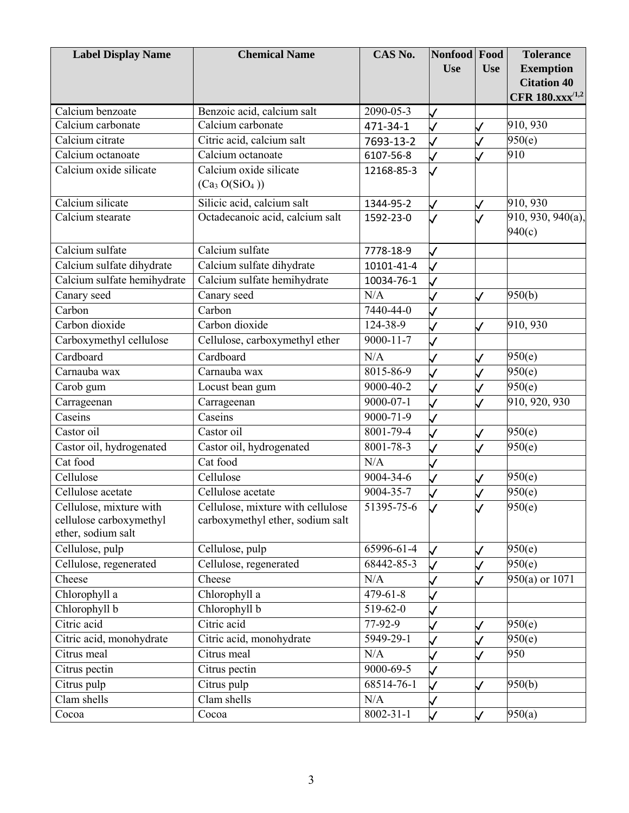| <b>Label Display Name</b>   | <b>Chemical Name</b>                   | CAS No.         | Nonfood      | Food         | <b>Tolerance</b>               |
|-----------------------------|----------------------------------------|-----------------|--------------|--------------|--------------------------------|
|                             |                                        |                 | <b>Use</b>   | <b>Use</b>   | <b>Exemption</b>               |
|                             |                                        |                 |              |              | <b>Citation 40</b>             |
|                             |                                        |                 |              |              | CFR 180.xxx <sup>/1,2</sup>    |
| Calcium benzoate            | Benzoic acid, calcium salt             | 2090-05-3       | ✓            |              |                                |
| Calcium carbonate           | Calcium carbonate                      | 471-34-1        |              |              | 910, 930                       |
| Calcium citrate             | Citric acid, calcium salt              | 7693-13-2       |              |              | 950(e)                         |
| Calcium octanoate           | Calcium octanoate                      | 6107-56-8       |              |              | 910                            |
| Calcium oxide silicate      | Calcium oxide silicate                 | 12168-85-3      |              |              |                                |
|                             | (Ca <sub>3</sub> O(SiO <sub>4</sub> )) |                 |              |              |                                |
| Calcium silicate            | Silicic acid, calcium salt             | 1344-95-2       |              |              | 910, 930                       |
| Calcium stearate            | Octadecanoic acid, calcium salt        | 1592-23-0       |              |              | $\overline{910, 930}, 940(a),$ |
|                             |                                        |                 |              |              | 940(c)                         |
| Calcium sulfate             | Calcium sulfate                        | 7778-18-9       |              |              |                                |
| Calcium sulfate dihydrate   | Calcium sulfate dihydrate              | 10101-41-4      |              |              |                                |
| Calcium sulfate hemihydrate | Calcium sulfate hemihydrate            | 10034-76-1      |              |              |                                |
| Canary seed                 | Canary seed                            | N/A             |              | $\checkmark$ | 950(b)                         |
| Carbon                      | Carbon                                 | $7440 - 44 - 0$ |              |              |                                |
| Carbon dioxide              | Carbon dioxide                         | 124-38-9        |              | $\checkmark$ | 910, 930                       |
| Carboxymethyl cellulose     | Cellulose, carboxymethyl ether         | $9000 - 11 - 7$ |              |              |                                |
| Cardboard                   | Cardboard                              | N/A             |              | J            | 950(e)                         |
| Carnauba wax                | Carnauba wax                           | 8015-86-9       |              |              | 950(e)                         |
| Carob gum                   | Locust bean gum                        | 9000-40-2       |              | $\checkmark$ | 950(e)                         |
| Carrageenan                 | Carrageenan                            | $9000 - 07 - 1$ |              |              | 910, 920, 930                  |
| Caseins                     | Caseins                                | 9000-71-9       |              |              |                                |
| Castor oil                  | Castor oil                             | 8001-79-4       |              |              | 950(e)                         |
| Castor oil, hydrogenated    | Castor oil, hydrogenated               | 8001-78-3       |              | $\checkmark$ | 950(e)                         |
| Cat food                    | Cat food                               | N/A             |              |              |                                |
| Cellulose                   | Cellulose                              | 9004-34-6       |              | $\checkmark$ | 950(e)                         |
| Cellulose acetate           | Cellulose acetate                      | 9004-35-7       |              |              | 950(e)                         |
| Cellulose, mixture with     | Cellulose, mixture with cellulose      | 51395-75-6      |              | V            | 950(e)                         |
| cellulose carboxymethyl     | carboxymethyl ether, sodium salt       |                 |              |              |                                |
| ether, sodium salt          |                                        |                 |              |              |                                |
| Cellulose, pulp             | Cellulose, pulp                        | 65996-61-4      |              |              | 950(e)                         |
| Cellulose, regenerated      | Cellulose, regenerated                 | 68442-85-3      |              |              | 950(e)                         |
| Cheese                      | Cheese                                 | N/A             |              |              | $950(a)$ or 1071               |
| Chlorophyll a               | Chlorophyll a                          | $479 - 61 - 8$  |              |              |                                |
| Chlorophyll b               | Chlorophyll b                          | $519-62-0$      |              |              |                                |
| Citric acid                 | Citric acid                            | 77-92-9         |              | ✓            | 950(e)                         |
| Citric acid, monohydrate    | Citric acid, monohydrate               | 5949-29-1       |              |              | 950(e)                         |
| Citrus meal                 | Citrus meal                            | N/A             |              |              | 950                            |
| Citrus pectin               | Citrus pectin                          | 9000-69-5       |              |              |                                |
| Citrus pulp                 | Citrus pulp                            | 68514-76-1      |              | ✓            | 950(b)                         |
| Clam shells                 | Clam shells                            | N/A             |              |              |                                |
| Cocoa                       | Cocoa                                  | $8002 - 31 - 1$ | $\checkmark$ | $\checkmark$ | 950(a)                         |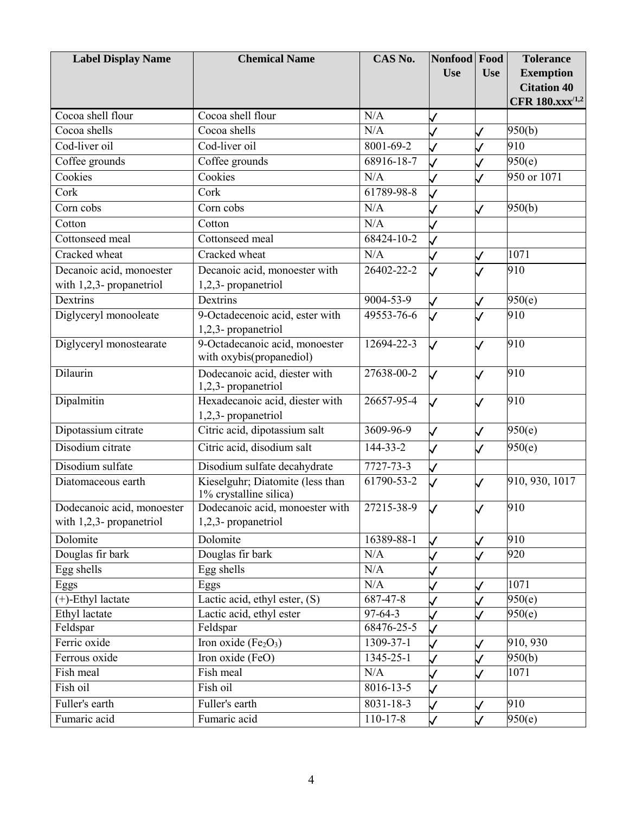| <b>Label Display Name</b>  | <b>Chemical Name</b>                                       | CAS No.         | Nonfood Food             |                          | <b>Tolerance</b>       |
|----------------------------|------------------------------------------------------------|-----------------|--------------------------|--------------------------|------------------------|
|                            |                                                            |                 | <b>Use</b>               | <b>Use</b>               | <b>Exemption</b>       |
|                            |                                                            |                 |                          |                          | <b>Citation 40</b>     |
|                            |                                                            |                 |                          |                          | CFR $180.xxx^{1,2}$    |
| Cocoa shell flour          | Cocoa shell flour                                          | N/A             |                          |                          |                        |
| Cocoa shells               | Cocoa shells                                               | N/A             |                          |                          | 950(b)                 |
| Cod-liver oil              | Cod-liver oil                                              | $8001 - 69 - 2$ |                          |                          | 910                    |
| Coffee grounds             | Coffee grounds                                             | 68916-18-7      |                          |                          | 950(e)                 |
| Cookies                    | Cookies                                                    | N/A             |                          |                          | $950 \text{ or } 1071$ |
| Cork                       | Cork                                                       | 61789-98-8      |                          |                          |                        |
| Corn cobs                  | Corn cobs                                                  | N/A             |                          |                          | 950(b)                 |
| Cotton                     | Cotton                                                     | N/A             |                          |                          |                        |
| Cottonseed meal            | Cottonseed meal                                            | 68424-10-2      |                          |                          |                        |
| Cracked wheat              | Cracked wheat                                              | N/A             |                          |                          | 1071                   |
| Decanoic acid, monoester   | Decanoic acid, monoester with                              | 26402-22-2      |                          |                          | 910                    |
| with 1,2,3- propanetriol   | 1,2,3- propanetriol                                        |                 |                          |                          |                        |
| Dextrins                   | Dextrins                                                   | 9004-53-9       | $\overline{\mathcal{L}}$ |                          | 950(e)                 |
| Diglyceryl monooleate      | 9-Octadecenoic acid, ester with                            | 49553-76-6      |                          |                          | 910                    |
|                            | 1,2,3- propanetriol                                        |                 |                          |                          |                        |
| Diglyceryl monostearate    | 9-Octadecanoic acid, monoester                             | 12694-22-3      | $\mathcal{L}$            |                          | 910                    |
|                            | with oxybis(propanediol)                                   |                 |                          |                          |                        |
| Dilaurin                   | Dodecanoic acid, diester with                              | 27638-00-2      | $\mathcal{L}$            | .I                       | 910                    |
|                            | 1,2,3- propanetriol                                        |                 |                          |                          |                        |
| Dipalmitin                 | Hexadecanoic acid, diester with                            | 26657-95-4      |                          |                          | 910                    |
|                            | 1,2,3- propanetriol                                        |                 |                          |                          |                        |
| Dipotassium citrate        | Citric acid, dipotassium salt                              | 3609-96-9       | $\mathsf{\vee}$          | $\checkmark$             | 950(e)                 |
| Disodium citrate           | Citric acid, disodium salt                                 | 144-33-2        | $\mathcal{L}$            | $\overline{\mathcal{L}}$ | 950(e)                 |
| Disodium sulfate           | Disodium sulfate decahydrate                               | 7727-73-3       | $\checkmark$             |                          |                        |
| Diatomaceous earth         | Kieselguhr; Diatomite (less than<br>1% crystalline silica) | 61790-53-2      |                          |                          | 910, 930, 1017         |
| Dodecanoic acid, monoester | Dodecanoic acid, monoester with                            | 27215-38-9      | $\mathcal{L}$            | $\overline{I}$           | 910                    |
| with 1,2,3- propanetriol   | 1,2,3- propanetriol                                        |                 |                          |                          |                        |
| Dolomite                   | Dolomite                                                   | 16389-88-1      | $\checkmark$             |                          | 910                    |
| Douglas fir bark           | Douglas fir bark                                           | N/A             |                          |                          | 920                    |
| Egg shells                 | Egg shells                                                 | N/A             |                          |                          |                        |
| Eggs                       | Eggs                                                       | N/A             |                          |                          | 1071                   |
| (+)-Ethyl lactate          | Lactic acid, ethyl ester, (S)                              | 687-47-8        |                          |                          | 950(e)                 |
| Ethyl lactate              | Lactic acid, ethyl ester                                   | $97-64-3$       |                          |                          | 950(e)                 |
| Feldspar                   | Feldspar                                                   | 68476-25-5      |                          |                          |                        |
| Ferric oxide               | Iron oxide $(Fe2O3)$                                       | 1309-37-1       |                          |                          | 910, 930               |
| Ferrous oxide              | Iron oxide (FeO)                                           | $1345 - 25 - 1$ |                          |                          | 950(b)                 |
| Fish meal                  | Fish meal                                                  | N/A             |                          |                          | 1071                   |
| Fish oil                   | Fish oil                                                   | 8016-13-5       | $\overline{J}$           |                          |                        |
| Fuller's earth             | Fuller's earth                                             | 8031-18-3       |                          |                          | 910                    |
| Fumaric acid               | Fumaric acid                                               | $110-17-8$      | $\checkmark$             |                          | 950(e)                 |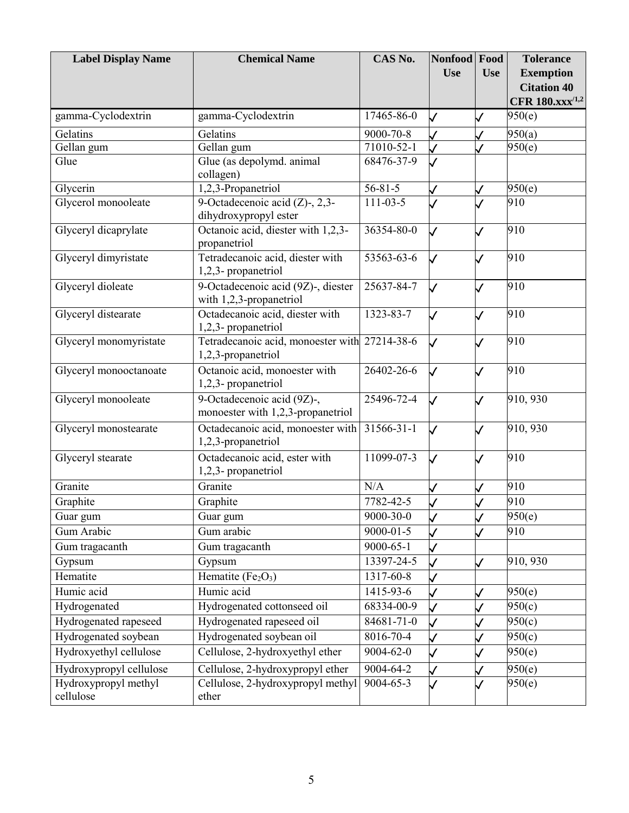| <b>Label Display Name</b>         | <b>Chemical Name</b>                                                | CAS No.          | Nonfood Food       |              | <b>Tolerance</b>                                  |
|-----------------------------------|---------------------------------------------------------------------|------------------|--------------------|--------------|---------------------------------------------------|
|                                   |                                                                     |                  | <b>Use</b>         | <b>Use</b>   | <b>Exemption</b>                                  |
|                                   |                                                                     |                  |                    |              | <b>Citation 40</b><br>CFR 180.xxx <sup>/1,2</sup> |
| gamma-Cyclodextrin                | gamma-Cyclodextrin                                                  | 17465-86-0       | $\mathcal{A}$      | $\checkmark$ | 950(e)                                            |
| Gelatins                          | Gelatins                                                            | 9000-70-8        |                    |              | 950(a)                                            |
| Gellan gum                        | Gellan gum                                                          | 71010-52-1       |                    |              | 950(e)                                            |
| Glue                              | Glue (as depolymd. animal                                           | 68476-37-9       |                    |              |                                                   |
|                                   | collagen)                                                           |                  |                    |              |                                                   |
| Glycerin                          | 1,2,3-Propanetriol                                                  | $56 - 81 - 5$    |                    |              | 950(e)                                            |
| Glycerol monooleate               | 9-Octadecenoic acid $(Z)$ -, 2,3-<br>dihydroxypropyl ester          | $111 - 03 - 5$   |                    |              | 910                                               |
| Glyceryl dicaprylate              | Octanoic acid, diester with 1,2,3-<br>propanetriol                  | 36354-80-0       |                    |              | 910                                               |
| Glyceryl dimyristate              | Tetradecanoic acid, diester with<br>1,2,3- propanetriol             | 53563-63-6       |                    |              | 910                                               |
| Glyceryl dioleate                 | 9-Octadecenoic acid (9Z)-, diester<br>with 1,2,3-propanetriol       | 25637-84-7       | $\mathsf{\bigvee}$ | J            | 910                                               |
| Glyceryl distearate               | Octadecanoic acid, diester with<br>1,2,3- propanetriol              | 1323-83-7        |                    |              | 910                                               |
| Glyceryl monomyristate            | Tetradecanoic acid, monoester with 27214-38-6<br>1,2,3-propanetriol |                  |                    |              | 910                                               |
| Glyceryl monooctanoate            | Octanoic acid, monoester with<br>1,2,3- propanetriol                | 26402-26-6       | $\checkmark$       |              | 910                                               |
| Glyceryl monooleate               | 9-Octadecenoic acid (9Z)-,<br>monoester with 1,2,3-propanetriol     | $25496 - 72 - 4$ | $\backslash\prime$ |              | 910, 930                                          |
| Glyceryl monostearate             | Octadecanoic acid, monoester with<br>1,2,3-propanetriol             | $31566 - 31 - 1$ | $\mathcal{L}$      |              | 910, 930                                          |
| Glyceryl stearate                 | Octadecanoic acid, ester with<br>1,2,3- propanetriol                | 11099-07-3       | $\checkmark$       |              | 910                                               |
| Granite                           | Granite                                                             | N/A              |                    |              | 910                                               |
| Graphite                          | Graphite                                                            | 7782-42-5        |                    |              | 910                                               |
| Guar gum                          | Guar gum                                                            | 9000-30-0        |                    | $\checkmark$ | 950(e)                                            |
| Gum Arabic                        | Gum arabic                                                          | $9000 - 01 - 5$  |                    |              | 910                                               |
| Gum tragacanth                    | Gum tragacanth                                                      | 9000-65-1        |                    |              |                                                   |
| Gypsum                            | Gypsum                                                              | 13397-24-5       |                    |              | 910, 930                                          |
| Hematite                          | Hematite $(Fe2O3)$                                                  | 1317-60-8        |                    |              |                                                   |
| Humic acid                        | Humic acid                                                          | 1415-93-6        |                    |              | 950(e)                                            |
| Hydrogenated                      | Hydrogenated cottonseed oil                                         | 68334-00-9       |                    |              | 950(c)                                            |
| Hydrogenated rapeseed             | Hydrogenated rapeseed oil                                           | 84681-71-0       |                    |              | 950(c)                                            |
| Hydrogenated soybean              | Hydrogenated soybean oil                                            | 8016-70-4        |                    |              | 950(c)                                            |
| Hydroxyethyl cellulose            | Cellulose, 2-hydroxyethyl ether                                     | 9004-62-0        |                    |              | 950(e)                                            |
| Hydroxypropyl cellulose           | Cellulose, 2-hydroxypropyl ether                                    | 9004-64-2        | $\checkmark$       |              | 950(e)                                            |
| Hydroxypropyl methyl<br>cellulose | Cellulose, 2-hydroxypropyl methyl<br>ether                          | $9004 - 65 - 3$  |                    |              | 950(e)                                            |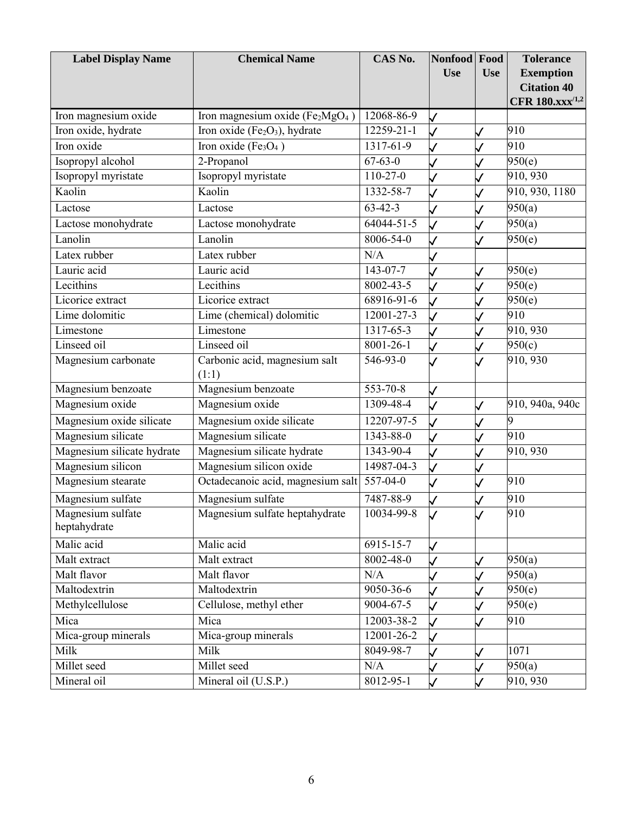| <b>Label Display Name</b>  | <b>Chemical Name</b>                                  | CAS No.          | Nonfood Food             |              | <b>Tolerance</b>    |
|----------------------------|-------------------------------------------------------|------------------|--------------------------|--------------|---------------------|
|                            |                                                       |                  | <b>Use</b>               | <b>Use</b>   | <b>Exemption</b>    |
|                            |                                                       |                  |                          |              | <b>Citation 40</b>  |
|                            |                                                       |                  |                          |              | CFR $180.xxx^{1,2}$ |
| Iron magnesium oxide       | Iron magnesium oxide ( $Fe2MgO4$ )                    | 12068-86-9       | $\checkmark$             |              |                     |
| Iron oxide, hydrate        | Iron oxide (Fe <sub>2</sub> O <sub>3</sub> ), hydrate | 12259-21-1       |                          |              | 910                 |
| Iron oxide                 | Iron oxide (Fe <sub>3</sub> O <sub>4</sub> )          | 1317-61-9        | $\overline{\mathcal{L}}$ |              | 910                 |
| Isopropyl alcohol          | 2-Propanol                                            | $67 - 63 - 0$    |                          |              | 950(e)              |
| Isopropyl myristate        | Isopropyl myristate                                   | $110-27-0$       |                          |              | 910, 930            |
| Kaolin                     | Kaolin                                                | 1332-58-7        |                          |              | 910, 930, 1180      |
| Lactose                    | Lactose                                               | $63 - 42 - 3$    |                          |              | 950(a)              |
| Lactose monohydrate        | Lactose monohydrate                                   | 64044-51-5       | $\checkmark$             |              | 950(a)              |
| Lanolin                    | Lanolin                                               | 8006-54-0        |                          |              | 950(e)              |
| Latex rubber               | Latex rubber                                          | N/A              |                          |              |                     |
| Lauric acid                | Lauric acid                                           | 143-07-7         |                          |              | 950(e)              |
| Lecithins                  | Lecithins                                             | 8002-43-5        | ✓                        |              | 950(e)              |
| Licorice extract           | Licorice extract                                      | $68916 - 91 - 6$ | J                        |              | 950(e)              |
| Lime dolomitic             | Lime (chemical) dolomitic                             | $12001 - 27 - 3$ |                          |              | 910                 |
| Limestone                  | Limestone                                             | $1317 - 65 - 3$  |                          |              | 910, 930            |
| Linseed oil                | Linseed oil                                           | 8001-26-1        |                          |              | $\overline{950(c)}$ |
| Magnesium carbonate        | Carbonic acid, magnesium salt                         | 546-93-0         |                          |              | 910, 930            |
|                            | (1:1)                                                 |                  |                          |              |                     |
| Magnesium benzoate         | Magnesium benzoate                                    | 553-70-8         |                          |              |                     |
| Magnesium oxide            | Magnesium oxide                                       | 1309-48-4        | $\mathcal{A}$            | $\checkmark$ | 910, 940a, 940c     |
| Magnesium oxide silicate   | Magnesium oxide silicate                              | 12207-97-5       |                          |              | 9                   |
| Magnesium silicate         | Magnesium silicate                                    | 1343-88-0        | $\overline{\mathcal{L}}$ |              | 910                 |
| Magnesium silicate hydrate | Magnesium silicate hydrate                            | 1343-90-4        | $\checkmark$             |              | 910, 930            |
| Magnesium silicon          | Magnesium silicon oxide                               | 14987-04-3       | $\overline{\mathcal{L}}$ |              |                     |
| Magnesium stearate         | Octadecanoic acid, magnesium salt                     | $557 - 04 - 0$   |                          |              | 910                 |
| Magnesium sulfate          | Magnesium sulfate                                     | 7487-88-9        |                          |              | 910                 |
| Magnesium sulfate          | Magnesium sulfate heptahydrate                        | 10034-99-8       |                          |              | 910                 |
| heptahydrate               |                                                       |                  |                          |              |                     |
| Malic acid                 | Malic acid                                            | 6915-15-7        | $\checkmark$             |              |                     |
| Malt extract               | Malt extract                                          | 8002-48-0        |                          |              | 950(a)              |
| Malt flavor                | Malt flavor                                           | N/A              |                          |              | 950(a)              |
| Maltodextrin               | Maltodextrin                                          | 9050-36-6        |                          |              | 950(e)              |
| Methylcellulose            | Cellulose, methyl ether                               | 9004-67-5        |                          |              | 950(e)              |
| Mica                       | Mica                                                  | 12003-38-2       |                          |              | 910                 |
| Mica-group minerals        | Mica-group minerals                                   | 12001-26-2       |                          |              |                     |
| Milk                       | Milk                                                  | 8049-98-7        |                          |              | 1071                |
| Millet seed                | Millet seed                                           | N/A              |                          |              | 950(a)              |
| Mineral oil                | Mineral oil (U.S.P.)                                  | 8012-95-1        | $\checkmark$             | $\checkmark$ | 910, 930            |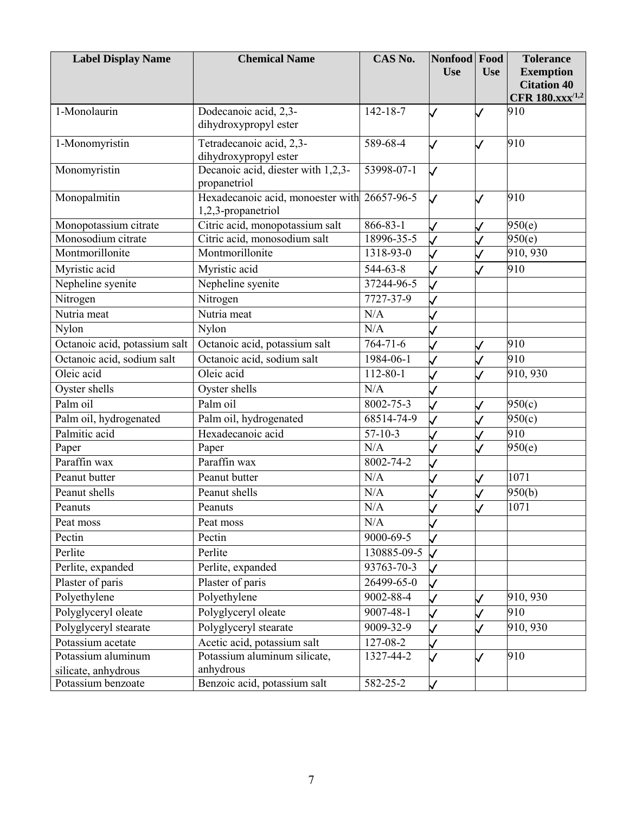| <b>Label Display Name</b>     | <b>Chemical Name</b>                                    | CAS No.        | Nonfood Food<br><b>Use</b> | <b>Use</b>   | <b>Tolerance</b><br><b>Exemption</b><br><b>Citation 40</b> |
|-------------------------------|---------------------------------------------------------|----------------|----------------------------|--------------|------------------------------------------------------------|
|                               |                                                         |                |                            |              | <b>CFR 180.xxx</b> <sup>/1,2</sup>                         |
| 1-Monolaurin                  | Dodecanoic acid, 2,3-<br>dihydroxypropyl ester          | $142 - 18 - 7$ | $\overline{\mathcal{J}}$   | $\checkmark$ | 910                                                        |
| 1-Monomyristin                | Tetradecanoic acid, 2,3-<br>dihydroxypropyl ester       | 589-68-4       |                            |              | 910                                                        |
| Monomyristin                  | Decanoic acid, diester with 1,2,3-<br>propanetriol      | 53998-07-1     | $\checkmark$               |              |                                                            |
| Monopalmitin                  | Hexadecanoic acid, monoester with<br>1,2,3-propanetriol | 26657-96-5     | $\mathcal{L}$              | $\checkmark$ | 910                                                        |
| Monopotassium citrate         | Citric acid, monopotassium salt                         | 866-83-1       | $\checkmark$               | $\checkmark$ | 950(e)                                                     |
| Monosodium citrate            | Citric acid, monosodium salt                            | 18996-35-5     | $\overline{\mathcal{L}}$   |              | 950(e)                                                     |
| Montmorillonite               | Montmorillonite                                         | 1318-93-0      |                            |              | 910, 930                                                   |
| Myristic acid                 | Myristic acid                                           | 544-63-8       |                            |              | 910                                                        |
| Nepheline syenite             | Nepheline syenite                                       | 37244-96-5     |                            |              |                                                            |
| Nitrogen                      | Nitrogen                                                | 7727-37-9      |                            |              |                                                            |
| Nutria meat                   | Nutria meat                                             | N/A            |                            |              |                                                            |
| Nylon                         | Nylon                                                   | N/A            |                            |              |                                                            |
| Octanoic acid, potassium salt | Octanoic acid, potassium salt                           | $764 - 71 - 6$ |                            |              | 910                                                        |
| Octanoic acid, sodium salt    | Octanoic acid, sodium salt                              | 1984-06-1      |                            |              | 910                                                        |
| Oleic acid                    | Oleic acid                                              | 112-80-1       |                            |              | 910, 930                                                   |
| Oyster shells                 | Oyster shells                                           | N/A            |                            |              |                                                            |
| Palm oil                      | Palm oil                                                | 8002-75-3      |                            |              | 950(c)                                                     |
| Palm oil, hydrogenated        | Palm oil, hydrogenated                                  | 68514-74-9     |                            |              | 950(c)                                                     |
| Palmitic acid                 | Hexadecanoic acid                                       | $57-10-3$      |                            |              | 910                                                        |
| Paper                         | Paper                                                   | N/A            |                            |              | 950(e)                                                     |
| Paraffin wax                  | Paraffin wax                                            | 8002-74-2      |                            |              |                                                            |
| Peanut butter                 | Peanut butter                                           | N/A            |                            |              | 1071                                                       |
| Peanut shells                 | Peanut shells                                           | N/A            |                            |              | 950(b)                                                     |
| Peanuts                       | Peanuts                                                 | N/A            |                            |              | 1071                                                       |
| Peat moss                     | Peat moss                                               | N/A            |                            |              |                                                            |
| Pectin                        | Pectin                                                  | 9000-69-5      |                            |              |                                                            |
| Perlite                       | Perlite                                                 | 130885-09-5    |                            |              |                                                            |
| Perlite, expanded             | Perlite, expanded                                       | 93763-70-3     |                            |              |                                                            |
| Plaster of paris              | Plaster of paris                                        | 26499-65-0     |                            |              |                                                            |
| Polyethylene                  | Polyethylene                                            | 9002-88-4      |                            |              | 910, 930                                                   |
| Polyglyceryl oleate           | Polyglyceryl oleate                                     | 9007-48-1      | $\checkmark$               |              | 910                                                        |
| Polyglyceryl stearate         | Polyglyceryl stearate                                   | 9009-32-9      |                            |              | 910, 930                                                   |
| Potassium acetate             | Acetic acid, potassium salt                             | 127-08-2       |                            |              |                                                            |
| Potassium aluminum            | Potassium aluminum silicate,                            | 1327-44-2      |                            | $\checkmark$ | 910                                                        |
| silicate, anhydrous           | anhydrous                                               |                |                            |              |                                                            |
| Potassium benzoate            | Benzoic acid, potassium salt                            | 582-25-2       | $\checkmark$               |              |                                                            |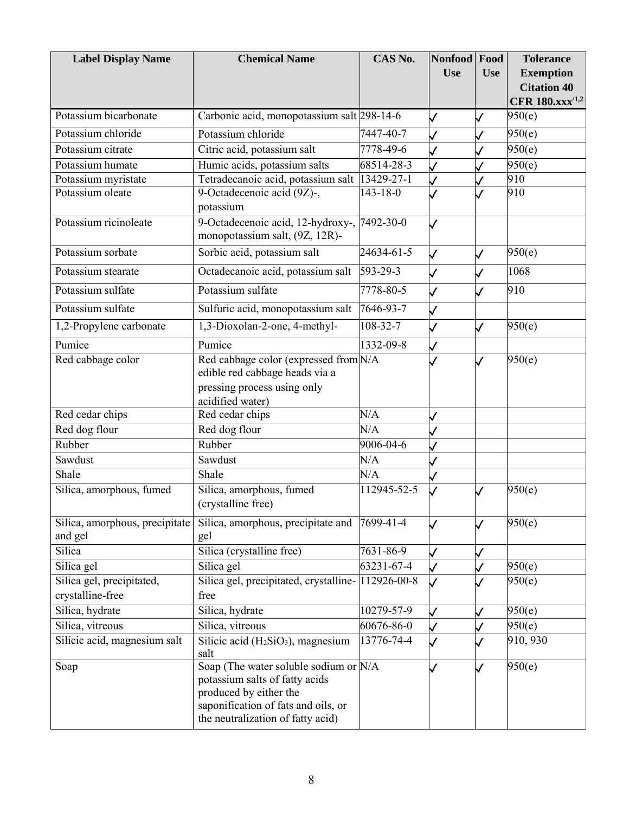| <b>Label Display Name</b>                 | <b>Chemical Name</b>                                                                                                                                                          | CAS No.     | <b>Nonfood</b><br><b>Use</b> | Food<br><b>Use</b> | <b>Tolerance</b><br><b>Exemption</b>              |
|-------------------------------------------|-------------------------------------------------------------------------------------------------------------------------------------------------------------------------------|-------------|------------------------------|--------------------|---------------------------------------------------|
|                                           |                                                                                                                                                                               |             |                              |                    | <b>Citation 40</b><br>CFR 180.xxx <sup>/1,2</sup> |
| Potassium bicarbonate                     | Carbonic acid, monopotassium salt 298-14-6                                                                                                                                    |             | $\checkmark$                 |                    | 950(e)                                            |
| Potassium chloride                        | Potassium chloride                                                                                                                                                            | 7447-40-7   |                              |                    | 950(e)                                            |
| Potassium citrate                         | Citric acid, potassium salt                                                                                                                                                   | 7778-49-6   |                              |                    | 950(e)                                            |
| Potassium humate                          | Humic acids, potassium salts                                                                                                                                                  | 68514-28-3  |                              |                    | 950(e)                                            |
| Potassium myristate                       | Tetradecanoic acid, potassium salt                                                                                                                                            | 13429-27-1  |                              |                    | 910                                               |
| Potassium oleate                          | 9-Octadecenoic acid (9Z)-,<br>potassium                                                                                                                                       | 143-18-0    |                              |                    | 910                                               |
| Potassium ricinoleate                     | 9-Octadecenoic acid, 12-hydroxy-,<br>monopotassium salt, (9Z, 12R)-                                                                                                           | 7492-30-0   | $\checkmark$                 |                    |                                                   |
| Potassium sorbate                         | Sorbic acid, potassium salt                                                                                                                                                   | 24634-61-5  | $\checkmark$                 | $\checkmark$       | 950(e)                                            |
| Potassium stearate                        | Octadecanoic acid, potassium salt                                                                                                                                             | 593-29-3    |                              |                    | 1068                                              |
| Potassium sulfate                         | Potassium sulfate                                                                                                                                                             | 7778-80-5   | $\checkmark$                 |                    | 910                                               |
| Potassium sulfate                         | Sulfuric acid, monopotassium salt                                                                                                                                             | 7646-93-7   | $\checkmark$                 |                    |                                                   |
| 1,2-Propylene carbonate                   | 1,3-Dioxolan-2-one, 4-methyl-                                                                                                                                                 | 108-32-7    |                              | $\checkmark$       | 950(e)                                            |
| Pumice                                    | Pumice                                                                                                                                                                        | 1332-09-8   |                              |                    |                                                   |
| Red cabbage color                         | Red cabbage color (expressed from N/A<br>edible red cabbage heads via a<br>pressing process using only                                                                        |             |                              |                    | 950(e)                                            |
|                                           | acidified water)                                                                                                                                                              | N/A         |                              |                    |                                                   |
| Red cedar chips                           | Red cedar chips<br>Red dog flour                                                                                                                                              | N/A         |                              |                    |                                                   |
| Red dog flour<br>Rubber                   | Rubber                                                                                                                                                                        | 9006-04-6   |                              |                    |                                                   |
| Sawdust                                   | Sawdust                                                                                                                                                                       | N/A         |                              |                    |                                                   |
| Shale                                     | Shale                                                                                                                                                                         | N/A         |                              |                    |                                                   |
| Silica, amorphous, fumed                  | Silica, amorphous, fumed                                                                                                                                                      | 112945-52-5 |                              |                    | 950(e)                                            |
|                                           | (crystalline free)                                                                                                                                                            |             |                              |                    |                                                   |
| Silica, amorphous, precipitate<br>and gel | Silica, amorphous, precipitate and<br>gel                                                                                                                                     | 7699-41-4   |                              |                    | 950(e)                                            |
| Silica                                    | Silica (crystalline free)                                                                                                                                                     | 7631-86-9   |                              |                    |                                                   |
| Silica gel                                | Silica gel                                                                                                                                                                    | 63231-67-4  |                              |                    | 950(e)                                            |
| Silica gel, precipitated,                 | Silica gel, precipitated, crystalline-                                                                                                                                        | 112926-00-8 |                              |                    | 950(e)                                            |
| crystalline-free                          | free                                                                                                                                                                          |             |                              |                    |                                                   |
| Silica, hydrate                           | Silica, hydrate                                                                                                                                                               | 10279-57-9  |                              |                    | 950(e)                                            |
| Silica, vitreous                          | Silica, vitreous                                                                                                                                                              | 60676-86-0  |                              |                    | 950(e)                                            |
| Silicic acid, magnesium salt              | Silicic acid $(H_2SiO_3)$ , magnesium<br>salt                                                                                                                                 | 13776-74-4  |                              |                    | 910, 930                                          |
| Soap                                      | Soap (The water soluble sodium or N/A<br>potassium salts of fatty acids<br>produced by either the<br>saponification of fats and oils, or<br>the neutralization of fatty acid) |             |                              |                    | 950(e)                                            |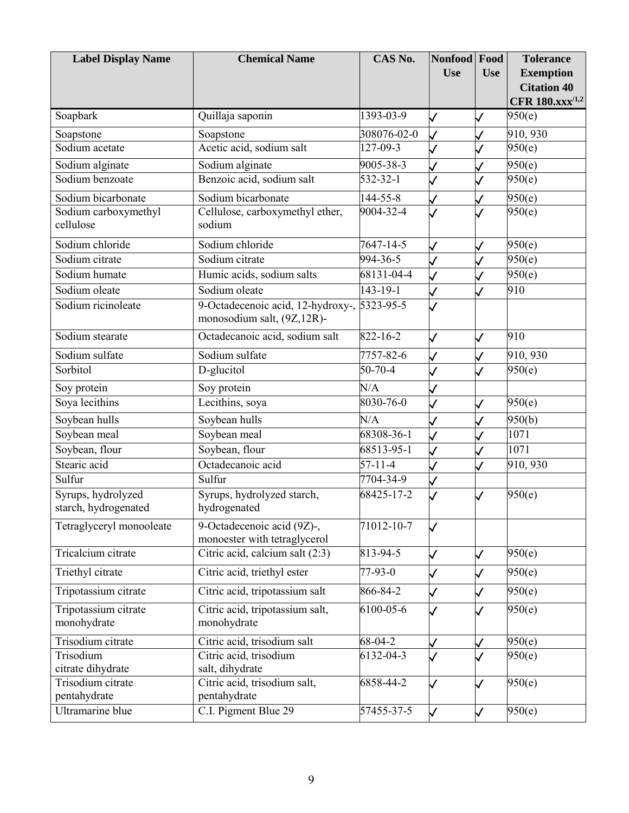| <b>Label Display Name</b>                  | <b>Chemical Name</b>                                                      | CAS No.       | Nonfood Food             |              | <b>Tolerance</b>            |
|--------------------------------------------|---------------------------------------------------------------------------|---------------|--------------------------|--------------|-----------------------------|
|                                            |                                                                           |               | <b>Use</b>               | <b>Use</b>   | <b>Exemption</b>            |
|                                            |                                                                           |               |                          |              | <b>Citation 40</b>          |
|                                            |                                                                           |               |                          |              | CFR 180.xxx <sup>/1,2</sup> |
| Soapbark                                   | Quillaja saponin                                                          | 1393-03-9     | $\overline{\mathcal{L}}$ | J            | 950(e)                      |
| Soapstone                                  | Soapstone                                                                 | 308076-02-0   |                          |              | 910, 930                    |
| Sodium acetate                             | Acetic acid, sodium salt                                                  | 127-09-3      |                          |              | 950(e)                      |
| Sodium alginate                            | Sodium alginate                                                           | 9005-38-3     |                          |              | 950(e)                      |
| Sodium benzoate                            | Benzoic acid, sodium salt                                                 | 532-32-1      |                          |              | 950(e)                      |
| Sodium bicarbonate                         | Sodium bicarbonate                                                        | 144-55-8      |                          |              | 950(e)                      |
| Sodium carboxymethyl<br>cellulose          | Cellulose, carboxymethyl ether,<br>sodium                                 | 9004-32-4     |                          |              | 950(e)                      |
| Sodium chloride                            | Sodium chloride                                                           | 7647-14-5     |                          |              | 950(e)                      |
| Sodium citrate                             | Sodium citrate                                                            | 994-36-5      |                          |              | 950(e)                      |
| Sodium humate                              | Humic acids, sodium salts                                                 | 68131-04-4    |                          |              | $\overline{950(e)}$         |
| Sodium oleate                              | Sodium oleate                                                             | 143-19-1      |                          |              | 910                         |
| Sodium ricinoleate                         | 9-Octadecenoic acid, 12-hydroxy-, 5323-95-5<br>monosodium salt, (9Z,12R)- |               |                          |              |                             |
| Sodium stearate                            | Octadecanoic acid, sodium salt                                            | 822-16-2      | $\mathcal{A}$            | $\checkmark$ | 910                         |
| Sodium sulfate                             | Sodium sulfate                                                            | 7757-82-6     |                          |              | 910, 930                    |
| Sorbitol                                   | D-glucitol                                                                | 50-70-4       |                          |              | 950(e)                      |
| Soy protein                                | Soy protein                                                               | N/A           |                          |              |                             |
| Soya lecithins                             | Lecithins, soya                                                           | 8030-76-0     |                          |              | 950(e)                      |
| Soybean hulls                              | Soybean hulls                                                             | N/A           |                          |              | 950(b)                      |
| Soybean meal                               | Soybean meal                                                              | 68308-36-1    |                          |              | 1071                        |
| Soybean, flour                             | Soybean, flour                                                            | 68513-95-1    |                          |              | 1071                        |
| Stearic acid                               | Octadecanoic acid                                                         | $57 - 11 - 4$ |                          |              | 910, 930                    |
| Sulfur                                     | Sulfur                                                                    | 7704-34-9     |                          |              |                             |
| Syrups, hydrolyzed<br>starch, hydrogenated | Syrups, hydrolyzed starch,<br>hydrogenated                                | 68425-17-2    |                          |              | 950(e)                      |
| Tetraglyceryl monooleate                   | 9-Octadecenoic acid (9Z)-,<br>monoester with tetraglycerol                | 71012-10-7    | J                        |              |                             |
| Tricalcium citrate                         | Citric acid, calcium salt (2:3)                                           | 813-94-5      | $\mathsf{\bigvee}$       | $\checkmark$ | 950(e)                      |
| Triethyl citrate                           | Citric acid, triethyl ester                                               | 77-93-0       | $\checkmark$             |              | 950(e)                      |
| Tripotassium citrate                       | Citric acid, tripotassium salt                                            | 866-84-2      |                          |              | 950(e)                      |
| Tripotassium citrate<br>monohydrate        | Citric acid, tripotassium salt,<br>monohydrate                            | 6100-05-6     |                          |              | 950(e)                      |
| Trisodium citrate                          | Citric acid, trisodium salt                                               | $68 - 04 - 2$ |                          |              | 950(e)                      |
| Trisodium<br>citrate dihydrate             | Citric acid, trisodium<br>salt, dihydrate                                 | 6132-04-3     |                          |              | 950(e)                      |
| Trisodium citrate<br>pentahydrate          | Citric acid, trisodium salt,<br>pentahydrate                              | 6858-44-2     |                          |              | 950(e)                      |
| Ultramarine blue                           | C.I. Pigment Blue 29                                                      | 57455-37-5    | $\checkmark$             |              | 950(e)                      |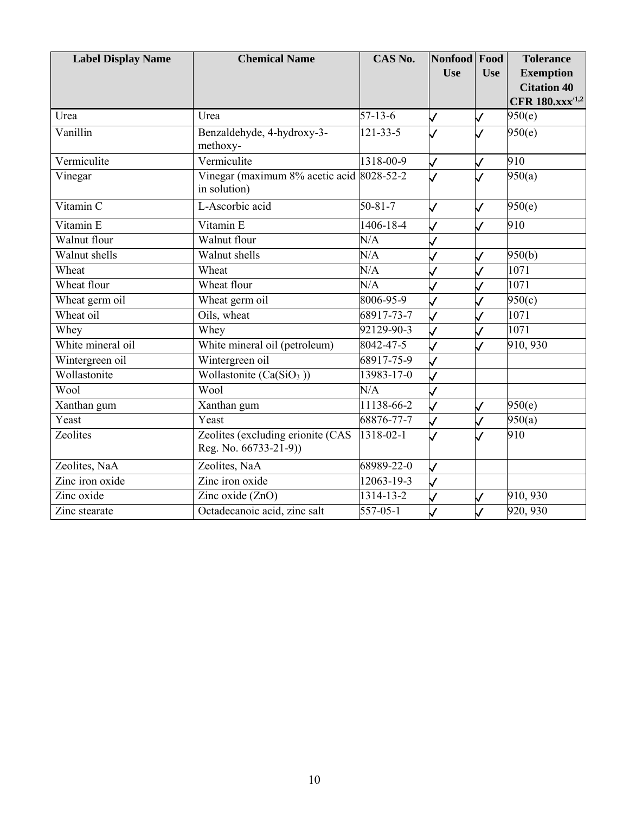| <b>Label Display Name</b> | <b>Chemical Name</b>                                       | CAS No.          | Nonfood Food<br><b>Use</b> | <b>Use</b>   | <b>Tolerance</b><br><b>Exemption</b><br><b>Citation 40</b><br>CFR $180.xxx^{1,2}$ |
|---------------------------|------------------------------------------------------------|------------------|----------------------------|--------------|-----------------------------------------------------------------------------------|
| Urea                      | Urea                                                       | $57 - 13 - 6$    | $\checkmark$               | $\checkmark$ | 950(e)                                                                            |
| Vanillin                  | Benzaldehyde, 4-hydroxy-3-<br>methoxy-                     | $121 - 33 - 5$   |                            |              | 950(e)                                                                            |
| Vermiculite               | Vermiculite                                                | 1318-00-9        | $\checkmark$               | $\checkmark$ | 910                                                                               |
| Vinegar                   | Vinegar (maximum 8% acetic acid 8028-52-2<br>in solution)  |                  |                            |              | 950(a)                                                                            |
| Vitamin C                 | L-Ascorbic acid                                            | $50 - 81 - 7$    |                            | $\checkmark$ | 950(e)                                                                            |
| Vitamin E                 | Vitamin E                                                  | 1406-18-4        |                            |              | 910                                                                               |
| Walnut flour              | Walnut flour                                               | N/A              |                            |              |                                                                                   |
| Walnut shells             | Walnut shells                                              | N/A              |                            |              | 950(b)                                                                            |
| Wheat                     | Wheat                                                      | N/A              |                            |              | 1071                                                                              |
| Wheat flour               | Wheat flour                                                | N/A              |                            |              | 1071                                                                              |
| Wheat germ oil            | Wheat germ oil                                             | 8006-95-9        |                            |              | $\overline{950(c)}$                                                               |
| Wheat oil                 | Oils, wheat                                                | 68917-73-7       |                            |              | 1071                                                                              |
| Whey                      | Whey                                                       | $92129 - 90 - 3$ | $\checkmark$               |              | 1071                                                                              |
| White mineral oil         | White mineral oil (petroleum)                              | 8042-47-5        |                            |              | 910, 930                                                                          |
| Wintergreen oil           | Wintergreen oil                                            | 68917-75-9       |                            |              |                                                                                   |
| Wollastonite              | Wollastonite $(Ca(SiO3))$                                  | 13983-17-0       |                            |              |                                                                                   |
| Wool                      | Wool                                                       | N/A              |                            |              |                                                                                   |
| Xanthan gum               | Xanthan gum                                                | 11138-66-2       |                            |              | 950(e)                                                                            |
| Yeast                     | Yeast                                                      | 68876-77-7       |                            |              | 950(a)                                                                            |
| Zeolites                  | Zeolites (excluding erionite (CAS<br>Reg. No. 66733-21-9)) | 1318-02-1        | $\overline{\mathcal{L}}$   |              | 910                                                                               |
| Zeolites, NaA             | Zeolites, NaA                                              | 68989-22-0       | $\mathcal V$               |              |                                                                                   |
| Zinc iron oxide           | Zinc iron oxide                                            | 12063-19-3       |                            |              |                                                                                   |
| Zinc oxide                | Zinc oxide (ZnO)                                           | 1314-13-2        |                            |              | 910, 930                                                                          |
| Zinc stearate             | Octadecanoic acid, zinc salt                               | $557 - 05 - 1$   | $\mathsf{\vee}$            |              | 920, 930                                                                          |